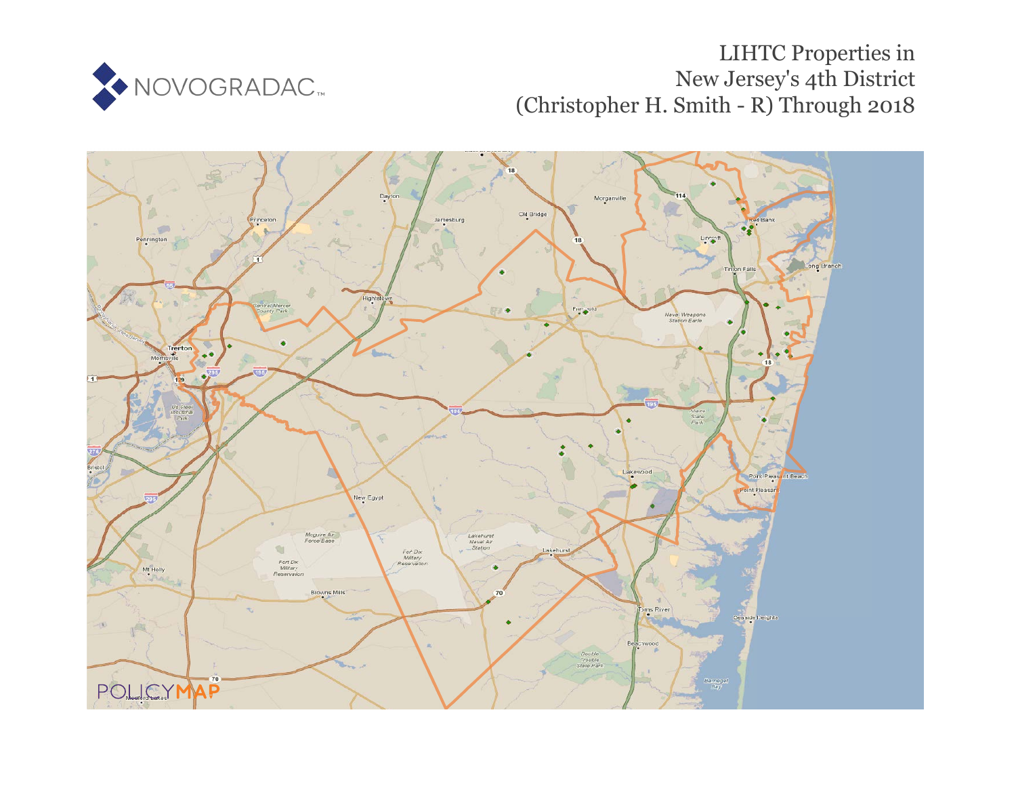

# LIHTC Properties in New Jersey's 4th District (Christopher H. Smith - R) Through 2018

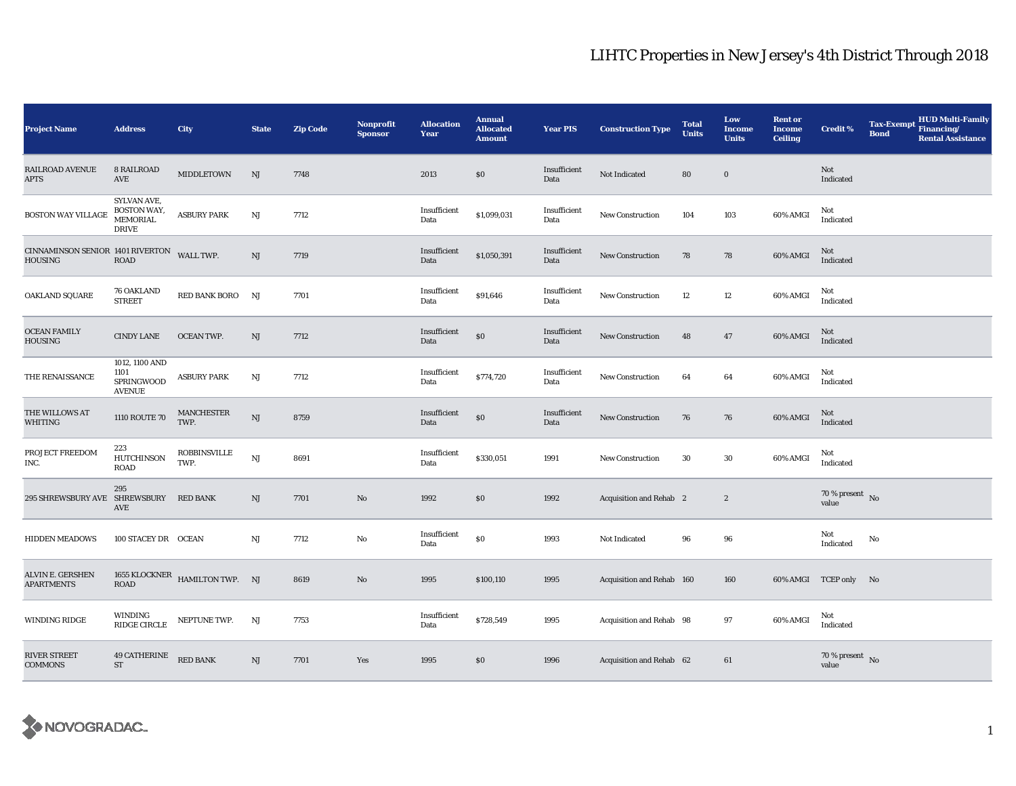| <b>Project Name</b>                                   | <b>Address</b>                                               | <b>City</b>                    | <b>State</b>           | <b>Zip Code</b> | Nonprofit<br><b>Sponsor</b> | <b>Allocation</b><br>Year | <b>Annual</b><br><b>Allocated</b><br><b>Amount</b> | <b>Year PIS</b>      | <b>Construction Type</b>       | <b>Total</b><br><b>Units</b> | Low<br><b>Income</b><br><b>Units</b> | <b>Rent or</b><br><b>Income</b><br><b>Ceiling</b> | Credit %                          | <b>Tax-Exempt</b><br><b>Bond</b> | HUD Multi-Family<br>Financing/<br><b>Rental Assistance</b> |
|-------------------------------------------------------|--------------------------------------------------------------|--------------------------------|------------------------|-----------------|-----------------------------|---------------------------|----------------------------------------------------|----------------------|--------------------------------|------------------------------|--------------------------------------|---------------------------------------------------|-----------------------------------|----------------------------------|------------------------------------------------------------|
| <b>RAILROAD AVENUE</b><br><b>APTS</b>                 | 8 RAILROAD<br>AVE                                            | <b>MIDDLETOWN</b>              | NJ                     | 7748            |                             | 2013                      | \$0\$                                              | Insufficient<br>Data | Not Indicated                  | 80                           | $\bf{0}$                             |                                                   | Not<br>Indicated                  |                                  |                                                            |
| <b>BOSTON WAY VILLAGE</b>                             | SYLVAN AVE,<br>BOSTON WAY,<br>MEMORIAL<br><b>DRIVE</b>       | <b>ASBURY PARK</b>             | NJ                     | 7712            |                             | Insufficient<br>Data      | \$1,099,031                                        | Insufficient<br>Data | <b>New Construction</b>        | 104                          | 103                                  | 60% AMGI                                          | Not<br>Indicated                  |                                  |                                                            |
| CINNAMINSON SENIOR 1401 RIVERTON WALL TWP.<br>HOUSING | <b>ROAD</b>                                                  |                                | NJ                     | 7719            |                             | Insufficient<br>Data      | \$1,050,391                                        | Insufficient<br>Data | New Construction               | 78                           | 78                                   | 60% AMGI                                          | Not<br>Indicated                  |                                  |                                                            |
| OAKLAND SQUARE                                        | <b>76 OAKLAND</b><br><b>STREET</b>                           | RED BANK BORO NJ               |                        | 7701            |                             | Insufficient<br>Data      | \$91,646                                           | Insufficient<br>Data | New Construction               | 12                           | 12                                   | 60% AMGI                                          | Not<br>Indicated                  |                                  |                                                            |
| <b>OCEAN FAMILY</b><br>HOUSING                        | <b>CINDY LANE</b>                                            | <b>OCEAN TWP.</b>              | NJ                     | 7712            |                             | Insufficient<br>Data      | $\$0$                                              | Insufficient<br>Data | <b>New Construction</b>        | 48                           | 47                                   | 60% AMGI                                          | Not<br>Indicated                  |                                  |                                                            |
| THE RENAISSANCE                                       | 1012, 1100 AND<br>1101<br><b>SPRINGWOOD</b><br><b>AVENUE</b> | <b>ASBURY PARK</b>             | NJ                     | 7712            |                             | Insufficient<br>Data      | \$774,720                                          | Insufficient<br>Data | New Construction               | 64                           | 64                                   | 60% AMGI                                          | Not<br>Indicated                  |                                  |                                                            |
| THE WILLOWS AT<br>WHITING                             | 1110 ROUTE 70                                                | <b>MANCHESTER</b><br>TWP.      | NJ                     | 8759            |                             | Insufficient<br>Data      | $\$0$                                              | Insufficient<br>Data | <b>New Construction</b>        | 76                           | 76                                   | 60% AMGI                                          | Not<br>Indicated                  |                                  |                                                            |
| PROJECT FREEDOM<br>INC.                               | 223<br><b>HUTCHINSON</b><br>ROAD                             | <b>ROBBINSVILLE</b><br>TWP.    | $\mathbf{N}\mathbf{J}$ | 8691            |                             | Insufficient<br>Data      | \$330,051                                          | 1991                 | <b>New Construction</b>        | 30                           | 30                                   | 60% AMGI                                          | Not<br>Indicated                  |                                  |                                                            |
| 295 SHREWSBURY AVE SHREWSBURY RED BANK                | 295<br>AVE                                                   |                                | NJ                     | 7701            | No                          | 1992                      | \$0                                                | 1992                 | <b>Acquisition and Rehab</b> 2 |                              | $\boldsymbol{2}$                     |                                                   | 70 % present $\bar{N}$ o<br>value |                                  |                                                            |
| <b>HIDDEN MEADOWS</b>                                 | 100 STACEY DR OCEAN                                          |                                | NJ                     | 7712            | No                          | Insufficient<br>Data      | $\$0$                                              | 1993                 | Not Indicated                  | 96                           | 96                                   |                                                   | Not<br>Indicated                  | No                               |                                                            |
| ALVIN E. GERSHEN<br><b>APARTMENTS</b>                 | ROAD                                                         | 1655 KLOCKNER HAMILTON TWP. NJ |                        | 8619            | $\mathbf{N}\mathbf{o}$      | 1995                      | \$100,110                                          | 1995                 | Acquisition and Rehab 160      |                              | 160                                  |                                                   | 60% AMGI TCEP only No             |                                  |                                                            |
| WINDING RIDGE                                         | WINDING<br>RIDGE CIRCLE                                      | NEPTUNE TWP.                   | NJ                     | 7753            |                             | Insufficient<br>Data      | \$728,549                                          | 1995                 | Acquisition and Rehab 98       |                              | 97                                   | 60% AMGI                                          | Not<br>Indicated                  |                                  |                                                            |
| <b>RIVER STREET</b><br><b>COMMONS</b>                 | <b>49 CATHERINE</b> RED BANK<br>$\operatorname{ST}$          |                                | NJ                     | 7701            | Yes                         | 1995                      | \$0                                                | 1996                 | Acquisition and Rehab 62       |                              | 61                                   |                                                   | $70\,\%$ present $\,$ No value    |                                  |                                                            |

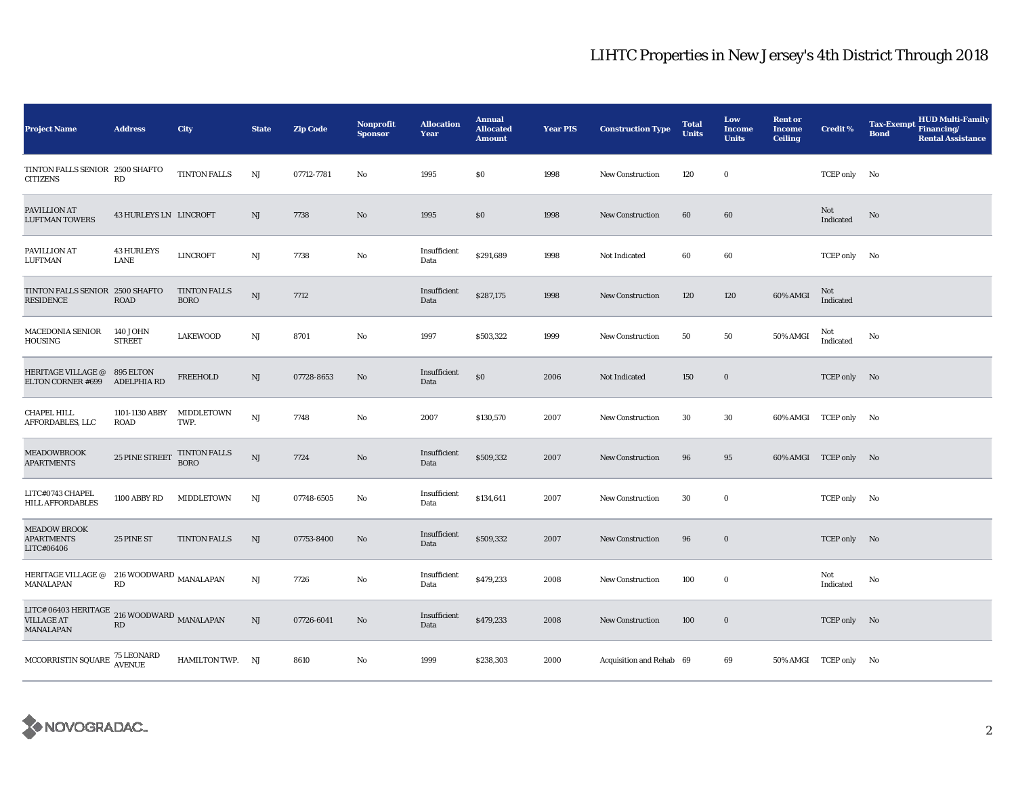| <b>Project Name</b>                                             | <b>Address</b>            | City                               | <b>State</b>           | <b>Zip Code</b> | Nonprofit<br><b>Sponsor</b> | <b>Allocation</b><br>Year | <b>Annual</b><br><b>Allocated</b><br><b>Amount</b> | <b>Year PIS</b> | <b>Construction Type</b> | <b>Total</b><br><b>Units</b> | Low<br><b>Income</b><br><b>Units</b> | <b>Rent or</b><br><b>Income</b><br><b>Ceiling</b> | <b>Credit %</b>       | <b>HUD Multi-Family</b><br><b>Tax-Exempt</b><br>Financing/<br><b>Bond</b><br><b>Rental Assistance</b> |
|-----------------------------------------------------------------|---------------------------|------------------------------------|------------------------|-----------------|-----------------------------|---------------------------|----------------------------------------------------|-----------------|--------------------------|------------------------------|--------------------------------------|---------------------------------------------------|-----------------------|-------------------------------------------------------------------------------------------------------|
| TINTON FALLS SENIOR 2500 SHAFTO<br><b>CITIZENS</b>              | RD                        | <b>TINTON FALLS</b>                | NJ                     | 07712-7781      | No                          | 1995                      | \$0                                                | 1998            | <b>New Construction</b>  | 120                          | $\bf{0}$                             |                                                   | TCEP only No          |                                                                                                       |
| PAVILLION AT<br><b>LUFTMAN TOWERS</b>                           | 43 HURLEYS LN LINCROFT    |                                    | NJ                     | 7738            | No                          | 1995                      | \$0                                                | 1998            | <b>New Construction</b>  | 60                           | 60                                   |                                                   | Not<br>Indicated      | $\rm No$                                                                                              |
| PAVILLION AT<br>LUFTMAN                                         | <b>43 HURLEYS</b><br>LANE | <b>LINCROFT</b>                    | NJ                     | 7738            | No                          | Insufficient<br>Data      | \$291,689                                          | 1998            | Not Indicated            | 60                           | 60                                   |                                                   | TCEP only No          |                                                                                                       |
| TINTON FALLS SENIOR 2500 SHAFTO<br><b>RESIDENCE</b>             | <b>ROAD</b>               | <b>TINTON FALLS</b><br><b>BORO</b> | $\rm{NJ}$              | 7712            |                             | Insufficient<br>Data      | \$287,175                                          | 1998            | New Construction         | 120                          | 120                                  | 60% AMGI                                          | Not<br>Indicated      |                                                                                                       |
| <b>MACEDONIA SENIOR</b><br>HOUSING                              | 140 JOHN<br><b>STREET</b> | <b>LAKEWOOD</b>                    | $\mathbf{N}\mathbf{J}$ | 8701            | No                          | 1997                      | \$503,322                                          | 1999            | <b>New Construction</b>  | 50                           | 50                                   | 50% AMGI                                          | Not<br>Indicated      | No                                                                                                    |
| <b>HERITAGE VILLAGE @</b><br><b>ELTON CORNER #699</b>           | 895 ELTON<br>ADELPHIA RD  | <b>FREEHOLD</b>                    | $_{\rm NJ}$            | 07728-8653      | No                          | Insufficient<br>Data      | $\$0$                                              | 2006            | Not Indicated            | 150                          | $\bf{0}$                             |                                                   | TCEP only No          |                                                                                                       |
| CHAPEL HILL<br>AFFORDABLES, LLC                                 | 1101-1130 ABBY<br>ROAD    | MIDDLETOWN<br>TWP.                 | $\mathbf{N}\mathbf{J}$ | 7748            | $\mathbf{No}$               | 2007                      | \$130,570                                          | 2007            | <b>New Construction</b>  | 30                           | 30                                   |                                                   | 60% AMGI TCEP only No |                                                                                                       |
| <b>MEADOWBROOK</b><br><b>APARTMENTS</b>                         | 25 PINE STREET            | TINTON FALLS<br><b>BORO</b>        | NJ                     | 7724            | No                          | Insufficient<br>Data      | \$509,332                                          | 2007            | <b>New Construction</b>  | 96                           | 95                                   |                                                   | 60% AMGI TCEP only No |                                                                                                       |
| LITC#0743 CHAPEL<br><b>HILL AFFORDABLES</b>                     | 1100 ABBY RD              | MIDDLETOWN                         | NJ                     | 07748-6505      | No                          | Insufficient<br>Data      | \$134,641                                          | 2007            | <b>New Construction</b>  | 30                           | $\bf{0}$                             |                                                   | TCEP only No          |                                                                                                       |
| <b>MEADOW BROOK</b><br><b>APARTMENTS</b><br>LITC#06406          | 25 PINE ST                | <b>TINTON FALLS</b>                | NJ                     | 07753-8400      | No                          | Insufficient<br>Data      | \$509,332                                          | 2007            | New Construction         | 96                           | $\bf{0}$                             |                                                   | TCEP only No          |                                                                                                       |
| HERITAGE VILLAGE @ 216 WOODWARD MANALAPAN<br>MANALAPAN          | $\mathbf{R}\mathbf{D}$    |                                    | NJ                     | 7726            | No                          | Insufficient<br>Data      | \$479,233                                          | 2008            | <b>New Construction</b>  | 100                          | $\bf{0}$                             |                                                   | Not<br>Indicated      | No                                                                                                    |
| LITC# 06403 HERITAGE 216 WOODWARD MANALAPAN<br><b>MANALAPAN</b> | $\mathbf{R}\mathbf{D}$    |                                    | NJ                     | 07726-6041      | No                          | Insufficient<br>Data      | \$479,233                                          | 2008            | <b>New Construction</b>  | 100                          | $\bf{0}$                             |                                                   | TCEP only No          |                                                                                                       |
| MCCORRISTIN SQUARE 75 LEONARD<br>AVENUE                         |                           | HAMILTON TWP. NJ                   |                        | 8610            | No                          | 1999                      | \$238,303                                          | 2000            | Acquisition and Rehab 69 |                              | 69                                   |                                                   | 50% AMGI TCEP only No |                                                                                                       |

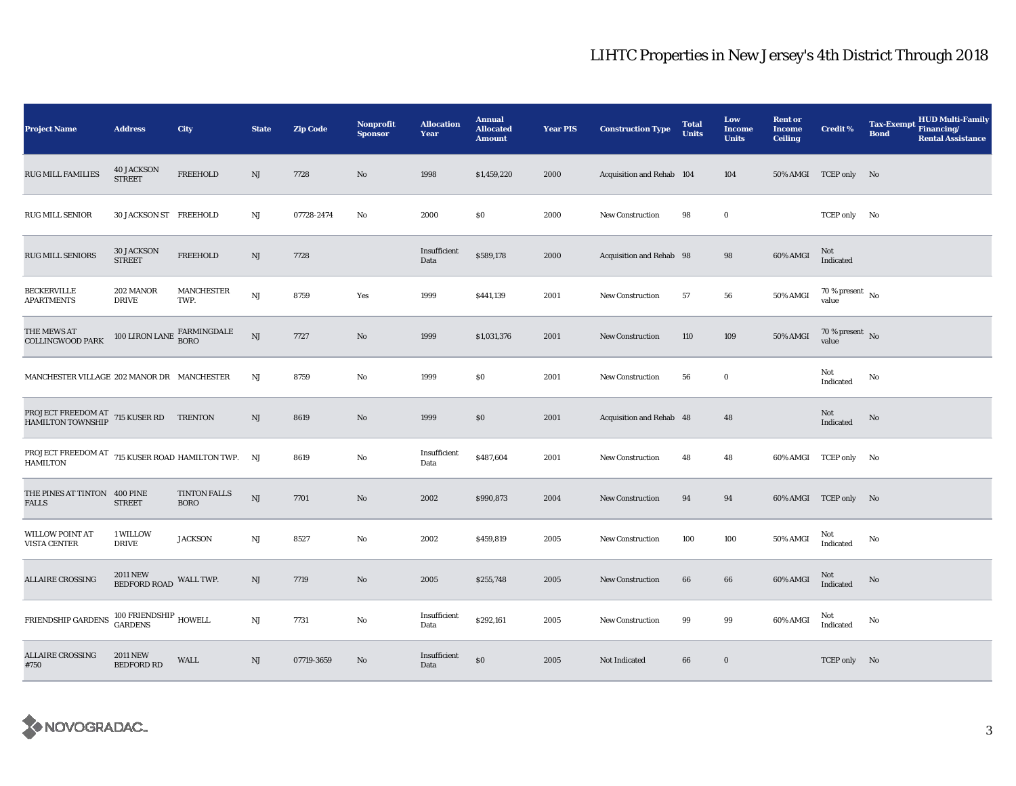| <b>Project Name</b>                                                   | <b>Address</b>                         | City                        | <b>State</b> | <b>Zip Code</b> | <b>Nonprofit</b><br><b>Sponsor</b> | <b>Allocation</b><br>Year | <b>Annual</b><br><b>Allocated</b><br><b>Amount</b> | <b>Year PIS</b> | <b>Construction Type</b>  | <b>Total</b><br><b>Units</b> | Low<br><b>Income</b><br><b>Units</b> | <b>Rent or</b><br><b>Income</b><br><b>Ceiling</b> | <b>Credit %</b>                    | <b>HUD Multi-Family</b><br><b>Tax-Exempt</b><br>Financing/<br><b>Bond</b><br><b>Rental Assistance</b> |
|-----------------------------------------------------------------------|----------------------------------------|-----------------------------|--------------|-----------------|------------------------------------|---------------------------|----------------------------------------------------|-----------------|---------------------------|------------------------------|--------------------------------------|---------------------------------------------------|------------------------------------|-------------------------------------------------------------------------------------------------------|
| RUG MILL FAMILIES                                                     | <b>40 JACKSON</b><br><b>STREET</b>     | FREEHOLD                    | NJ           | 7728            | No                                 | 1998                      | \$1,459,220                                        | 2000            | Acquisition and Rehab 104 |                              | 104                                  |                                                   | 50% AMGI TCEP only No              |                                                                                                       |
| RUG MILL SENIOR                                                       | 30 JACKSON ST FREEHOLD                 |                             | NJ           | 07728-2474      | No                                 | 2000                      | \$0                                                | 2000            | <b>New Construction</b>   | 98                           | $\bf{0}$                             |                                                   | TCEP only No                       |                                                                                                       |
| RUG MILL SENIORS                                                      | <b>30 JACKSON</b><br><b>STREET</b>     | <b>FREEHOLD</b>             | NJ           | 7728            |                                    | Insufficient<br>Data      | \$589,178                                          | 2000            | Acquisition and Rehab 98  |                              | 98                                   | 60% AMGI                                          | Not<br>Indicated                   |                                                                                                       |
| <b>BECKERVILLE</b><br><b>APARTMENTS</b>                               | 202 MANOR<br><b>DRIVE</b>              | <b>MANCHESTER</b><br>TWP.   | NJ           | 8759            | Yes                                | 1999                      | \$441,139                                          | 2001            | New Construction          | 57                           | 56                                   | 50% AMGI                                          | 70 % present $\hbox{~No}$<br>value |                                                                                                       |
| THE MEWS AT<br><b>COLLINGWOOD PARK</b>                                | 100 LIRON LANE                         | FARMINGDALE<br><b>BORO</b>  | NJ           | 7727            | No                                 | 1999                      | \$1,031,376                                        | 2001            | <b>New Construction</b>   | 110                          | 109                                  | 50% AMGI                                          | 70 % present $\,$ No $\,$<br>value |                                                                                                       |
| MANCHESTER VILLAGE 202 MANOR DR MANCHESTER                            |                                        |                             | NJ           | 8759            | No                                 | 1999                      | \$0                                                | 2001            | <b>New Construction</b>   | 56                           | $\bf{0}$                             |                                                   | Not<br>Indicated                   | No                                                                                                    |
| PROJECT FREEDOM AT 715 KUSER RD TRENTON HAMILTON TOWNSHIP             |                                        |                             | NJ           | 8619            | No                                 | 1999                      | \$0                                                | 2001            | Acquisition and Rehab 48  |                              | 48                                   |                                                   | Not<br>Indicated                   | No                                                                                                    |
| PROJECT FREEDOM AT 715 KUSER ROAD HAMILTON TWP. NJ<br><b>HAMILTON</b> |                                        |                             |              | 8619            | No                                 | Insufficient<br>Data      | \$487,604                                          | 2001            | <b>New Construction</b>   | 48                           | 48                                   | 60% AMGI TCEP only                                |                                    | No                                                                                                    |
| THE PINES AT TINTON 400 PINE<br>FALLS                                 | <b>STREET</b>                          | TINTON FALLS<br><b>BORO</b> | $\rm{NJ}$    | 7701            | No                                 | 2002                      | \$990,873                                          | 2004            | New Construction          | 94                           | 94                                   |                                                   | 60% AMGI TCEP only No              |                                                                                                       |
| <b>WILLOW POINT AT</b><br><b>VISTA CENTER</b>                         | 1 WILLOW<br><b>DRIVE</b>               | <b>JACKSON</b>              | NJ           | 8527            | No                                 | 2002                      | \$459,819                                          | 2005            | New Construction          | 100                          | 100                                  | 50% AMGI                                          | Not<br>Indicated                   | No                                                                                                    |
| <b>ALLAIRE CROSSING</b>                                               | <b>2011 NEW</b><br><b>BEDFORD ROAD</b> | WALL TWP.                   | NJ           | 7719            | No                                 | 2005                      | \$255,748                                          | 2005            | <b>New Construction</b>   | 66                           | 66                                   | 60% AMGI                                          | Not<br>Indicated                   | No                                                                                                    |
| FRIENDSHIP GARDENS                                                    | $100\text{ FRIENDSHIP}$ HOWELL GARDENS |                             | $\rm{NJ}$    | 7731            | No                                 | Insufficient<br>Data      | \$292,161                                          | 2005            | <b>New Construction</b>   | 99                           | 99                                   | 60% AMGI                                          | Not<br>Indicated                   | No                                                                                                    |
| <b>ALLAIRE CROSSING</b><br>#750                                       | <b>2011 NEW</b><br><b>BEDFORD RD</b>   | <b>WALL</b>                 | NJ           | 07719-3659      | No                                 | Insufficient<br>Data      | $\$0$                                              | 2005            | Not Indicated             | 66                           | $\bf{0}$                             |                                                   | TCEP only No                       |                                                                                                       |

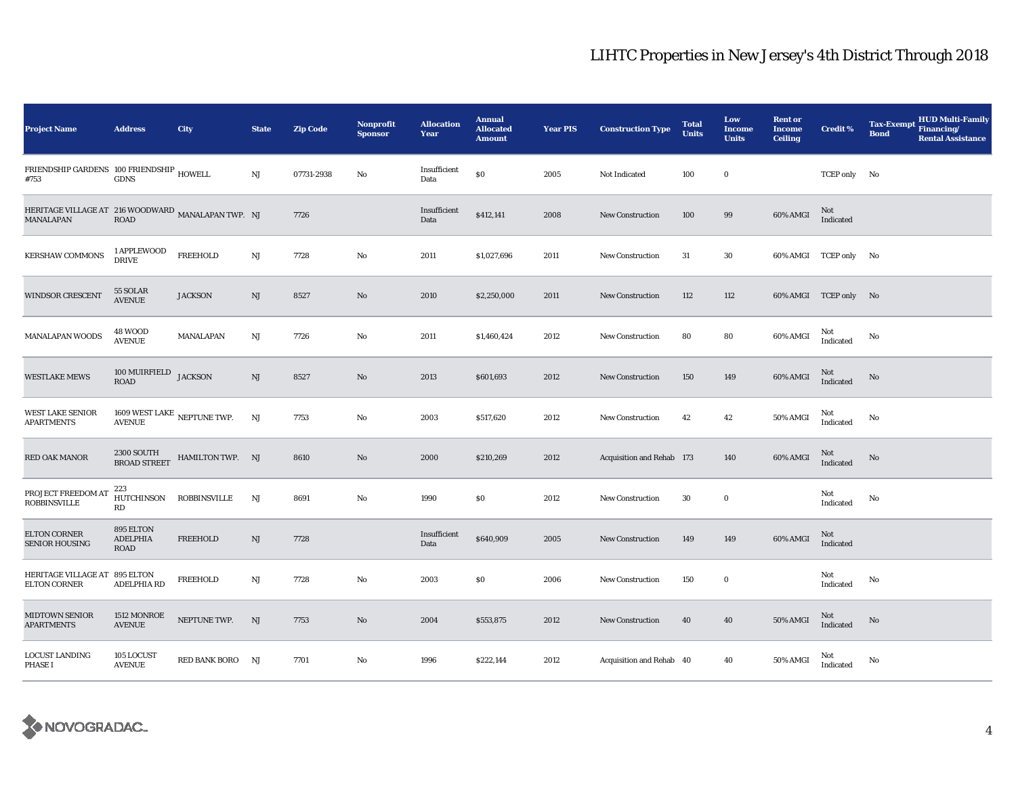| <b>Project Name</b>                                                    | <b>Address</b>                                 | City             | <b>State</b> | <b>Zip Code</b> | Nonprofit<br><b>Sponsor</b> | <b>Allocation</b><br>Year | <b>Annual</b><br><b>Allocated</b><br><b>Amount</b> | <b>Year PIS</b> | <b>Construction Type</b>  | <b>Total</b><br><b>Units</b> | Low<br><b>Income</b><br><b>Units</b> | <b>Rent or</b><br><b>Income</b><br><b>Ceiling</b> | <b>Credit %</b>         | <b>HUD Multi-Family</b><br><b>Tax-Exempt</b><br>Financing/<br><b>Bond</b><br><b>Rental Assistance</b> |
|------------------------------------------------------------------------|------------------------------------------------|------------------|--------------|-----------------|-----------------------------|---------------------------|----------------------------------------------------|-----------------|---------------------------|------------------------------|--------------------------------------|---------------------------------------------------|-------------------------|-------------------------------------------------------------------------------------------------------|
| FRIENDSHIP GARDENS 100 FRIENDSHIP HOWELL<br>#753                       | <b>GDNS</b>                                    |                  | NJ           | 07731-2938      | No                          | Insufficient<br>Data      | \$0                                                | 2005            | Not Indicated             | 100                          | $\bf{0}$                             |                                                   | TCEP only No            |                                                                                                       |
| HERITAGE VILLAGE AT 216 WOODWARD MANALAPAN TWP. NJ<br><b>MANALAPAN</b> | <b>ROAD</b>                                    |                  |              | 7726            |                             | Insufficient<br>Data      | \$412,141                                          | 2008            | <b>New Construction</b>   | 100                          | 99                                   | 60% AMGI                                          | Not<br>Indicated        |                                                                                                       |
| <b>KERSHAW COMMONS</b>                                                 | 1 APPLEWOOD<br><b>DRIVE</b>                    | <b>FREEHOLD</b>  | NJ           | 7728            | No                          | 2011                      | \$1,027,696                                        | 2011            | New Construction          | 31                           | 30                                   |                                                   | 60% AMGI TCEP only No   |                                                                                                       |
| <b>WINDSOR CRESCENT</b>                                                | 55 SOLAR<br><b>AVENUE</b>                      | <b>JACKSON</b>   | $_{\rm NJ}$  | 8527            | No                          | 2010                      | \$2,250,000                                        | 2011            | New Construction          | 112                          | 112                                  |                                                   | 60% AMGI TCEP only No   |                                                                                                       |
| <b>MANALAPAN WOODS</b>                                                 | <b>48 WOOD</b><br><b>AVENUE</b>                | MANALAPAN        | NJ           | 7726            | No                          | 2011                      | \$1,460,424                                        | 2012            | <b>New Construction</b>   | 80                           | 80                                   | 60% AMGI                                          | Not<br>Indicated        | No                                                                                                    |
| <b>WESTLAKE MEWS</b>                                                   | $100\,\mathrm{MUIRFIELD}\quad\mathrm{JACKSON}$ |                  | $\rm{NJ}$    | 8527            | No                          | 2013                      | \$601,693                                          | 2012            | <b>New Construction</b>   | 150                          | 149                                  | 60% AMGI                                          | Not<br>Indicated        | No                                                                                                    |
| <b>WEST LAKE SENIOR</b><br><b>APARTMENTS</b>                           | $1609$ WEST LAKE $\:$ NEPTUNE TWP. AVENUE      |                  | NJ           | 7753            | No                          | 2003                      | \$517,620                                          | 2012            | <b>New Construction</b>   | 42                           | 42                                   | <b>50% AMGI</b>                                   | Not<br>Indicated        | No                                                                                                    |
| RED OAK MANOR                                                          | 2300 SOUTH<br>BROAD STREET                     | HAMILTON TWP. NJ |              | 8610            | No                          | 2000                      | \$210,269                                          | 2012            | Acquisition and Rehab 173 |                              | 140                                  | 60% AMGI                                          | Not<br>Indicated        | No                                                                                                    |
| PROJECT FREEDOM AT<br><b>ROBBINSVILLE</b>                              | 223<br>HUTCHINSON<br>RD                        | ROBBINSVILLE     | NJ           | 8691            | No                          | 1990                      | \$0                                                | 2012            | New Construction          | 30                           | $\bf{0}$                             |                                                   | Not<br>Indicated        | No                                                                                                    |
| <b>ELTON CORNER</b><br><b>SENIOR HOUSING</b>                           | 895 ELTON<br><b>ADELPHIA</b><br><b>ROAD</b>    | <b>FREEHOLD</b>  | $_{\rm NJ}$  | 7728            |                             | Insufficient<br>Data      | \$640,909                                          | 2005            | New Construction          | 149                          | 149                                  | 60% AMGI                                          | <b>Not</b><br>Indicated |                                                                                                       |
| HERITAGE VILLAGE AT 895 ELTON<br><b>ELTON CORNER</b>                   | <b>ADELPHIA RD</b>                             | <b>FREEHOLD</b>  | NJ           | 7728            | No                          | 2003                      | \$0                                                | 2006            | <b>New Construction</b>   | 150                          | $\bf{0}$                             |                                                   | Not<br>Indicated        | No                                                                                                    |
| <b>MIDTOWN SENIOR</b><br><b>APARTMENTS</b>                             | 1512 MONROE<br><b>AVENUE</b>                   | NEPTUNE TWP.     | NJ           | 7753            | No                          | 2004                      | \$553,875                                          | 2012            | New Construction          | 40                           | 40                                   | <b>50% AMGI</b>                                   | Not<br>Indicated        | No                                                                                                    |
| LOCUST LANDING<br><b>PHASE I</b>                                       | 105 LOCUST<br><b>AVENUE</b>                    | RED BANK BORO NJ |              | 7701            | No                          | 1996                      | \$222,144                                          | 2012            | Acquisition and Rehab 40  |                              | 40                                   | <b>50% AMGI</b>                                   | Not<br>Indicated        | No                                                                                                    |

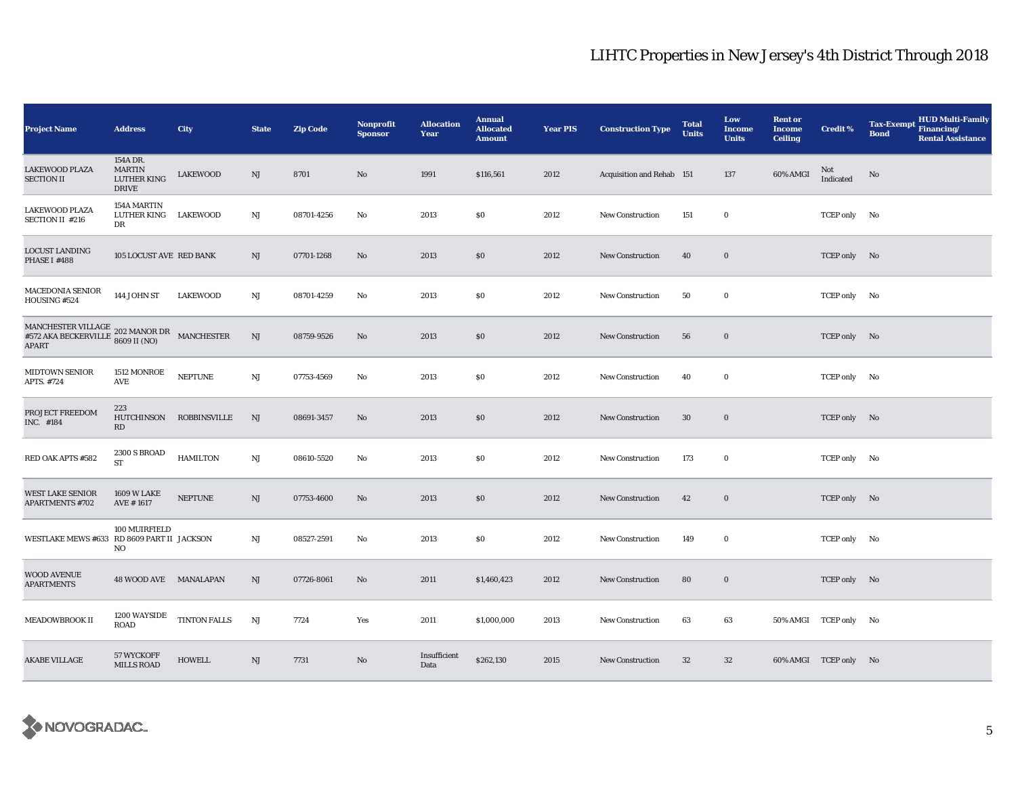| <b>Project Name</b>                                                                                                                                       | <b>Address</b>                                                  | City                | <b>State</b> | <b>Zip Code</b> | <b>Nonprofit</b><br><b>Sponsor</b> | <b>Allocation</b><br>Year | <b>Annual</b><br><b>Allocated</b><br><b>Amount</b> | <b>Year PIS</b> | <b>Construction Type</b>  | <b>Total</b><br><b>Units</b> | Low<br>Income<br><b>Units</b> | <b>Rent or</b><br><b>Income</b><br><b>Ceiling</b> | <b>Credit %</b>       | <b>HUD Multi-Family</b><br><b>Tax-Exempt</b><br>Financing/<br><b>Bond</b><br><b>Rental Assistance</b> |
|-----------------------------------------------------------------------------------------------------------------------------------------------------------|-----------------------------------------------------------------|---------------------|--------------|-----------------|------------------------------------|---------------------------|----------------------------------------------------|-----------------|---------------------------|------------------------------|-------------------------------|---------------------------------------------------|-----------------------|-------------------------------------------------------------------------------------------------------|
| <b>LAKEWOOD PLAZA</b><br><b>SECTION II</b>                                                                                                                | 154A DR.<br><b>MARTIN</b><br><b>LUTHER KING</b><br><b>DRIVE</b> | <b>LAKEWOOD</b>     | NJ           | 8701            | No                                 | 1991                      | \$116,561                                          | 2012            | Acquisition and Rehab 151 |                              | 137                           | 60% AMGI                                          | Not<br>Indicated      | No                                                                                                    |
| LAKEWOOD PLAZA<br><b>SECTION II #216</b>                                                                                                                  | 154A MARTIN<br>LUTHER KING<br>DR                                | <b>LAKEWOOD</b>     | NJ           | 08701-4256      | No                                 | 2013                      | \$0                                                | 2012            | <b>New Construction</b>   | 151                          | $\bf{0}$                      |                                                   | TCEP only No          |                                                                                                       |
| LOCUST LANDING<br>PHASE I #488                                                                                                                            | 105 LOCUST AVE RED BANK                                         |                     | NJ           | 07701-1268      | No                                 | 2013                      | $\$0$                                              | 2012            | <b>New Construction</b>   | 40                           | $\bf{0}$                      |                                                   | TCEP only No          |                                                                                                       |
| <b>MACEDONIA SENIOR</b><br>HOUSING #524                                                                                                                   | 144 JOHN ST                                                     | <b>LAKEWOOD</b>     | NJ           | 08701-4259      | No                                 | 2013                      | \$0                                                | 2012            | <b>New Construction</b>   | 50                           | $\bf{0}$                      |                                                   | TCEP only No          |                                                                                                       |
| $\begin{array}{ll} \text{MANCHESTER VILLAGE} & 202 \text{ MANOR DR} \\ \text{\#572 AKA BECKERVILLE} & 8609 \text{ II (NO)} \end{array} \text{MANCHESTER}$ |                                                                 |                     | NJ           | 08759-9526      | No                                 | 2013                      | \$0                                                | 2012            | <b>New Construction</b>   | 56                           | $\bf{0}$                      |                                                   | TCEP only No          |                                                                                                       |
| <b>MIDTOWN SENIOR</b><br>APTS. #724                                                                                                                       | 1512 MONROE<br><b>AVE</b>                                       | <b>NEPTUNE</b>      | $\rm{NJ}$    | 07753-4569      | No                                 | 2013                      | \$0                                                | 2012            | <b>New Construction</b>   | 40                           | $\bf{0}$                      |                                                   | TCEP only No          |                                                                                                       |
| PROJECT FREEDOM<br>INC. #184                                                                                                                              | 223<br><b>HUTCHINSON</b><br>RD                                  | ROBBINSVILLE        | NJ           | 08691-3457      | No                                 | 2013                      | \$0                                                | 2012            | <b>New Construction</b>   | $30\,$                       | $\bf{0}$                      |                                                   | TCEP only No          |                                                                                                       |
| RED OAK APTS #582                                                                                                                                         | <b>2300 S BROAD</b><br><b>ST</b>                                | <b>HAMILTON</b>     | NJ           | 08610-5520      | No                                 | 2013                      | \$0                                                | 2012            | <b>New Construction</b>   | 173                          | $\bf{0}$                      |                                                   | TCEP only No          |                                                                                                       |
| <b>WEST LAKE SENIOR</b><br><b>APARTMENTS #702</b>                                                                                                         | <b>1609 W LAKE</b><br>AVE #1617                                 | <b>NEPTUNE</b>      | NJ           | 07753-4600      | No                                 | 2013                      | \$0                                                | 2012            | <b>New Construction</b>   | 42                           | $\bf{0}$                      |                                                   | TCEP only No          |                                                                                                       |
| WESTLAKE MEWS #633 RD 8609 PART II JACKSON                                                                                                                | 100 MUIRFIELD<br>NO                                             |                     | NJ           | 08527-2591      | No                                 | 2013                      | \$0                                                | 2012            | New Construction          | 149                          | $\bf{0}$                      |                                                   | TCEP only No          |                                                                                                       |
| WOOD AVENUE<br><b>APARTMENTS</b>                                                                                                                          | 48 WOOD AVE MANALAPAN                                           |                     | NJ           | 07726-8061      | No                                 | 2011                      | \$1,460,423                                        | 2012            | <b>New Construction</b>   | 80                           | $\bf{0}$                      |                                                   | TCEP only No          |                                                                                                       |
| MEADOWBROOK II                                                                                                                                            | 1200 WAYSIDE<br><b>ROAD</b>                                     | <b>TINTON FALLS</b> | NJ           | 7724            | Yes                                | 2011                      | \$1,000,000                                        | 2013            | <b>New Construction</b>   | 63                           | 63                            |                                                   | 50% AMGI TCEP only No |                                                                                                       |
| <b>AKABE VILLAGE</b>                                                                                                                                      | 57 WYCKOFF<br><b>MILLS ROAD</b>                                 | <b>HOWELL</b>       | NJ           | 7731            | No                                 | Insufficient<br>Data      | \$262,130                                          | 2015            | <b>New Construction</b>   | 32                           | 32                            |                                                   | 60% AMGI TCEP only No |                                                                                                       |